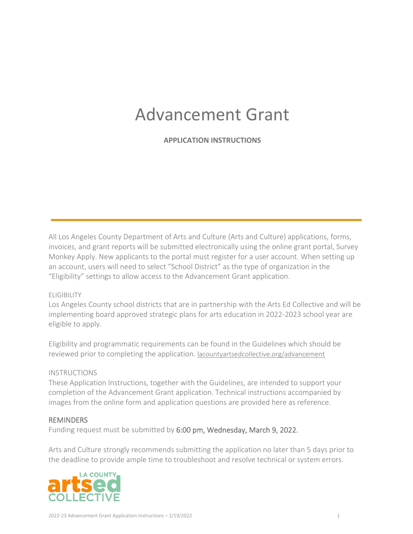# Advancement Grant

**APPLICATION INSTRUCTIONS**

All Los Angeles County Department of Arts and Culture (Arts and Culture) applications, forms, invoices, and grant reports will be submitted electronically using the online grant portal, Survey Monkey Apply. New applicants to the portal must register for a user account. When setting up an account, users will need to select "School District" as the type of organization in the "Eligibility" settings to allow access to the Advancement Grant application.

# ELIGIBILITY

Los Angeles County school districts that are in partnership with the Arts Ed Collective and will be implementing board approved strategic plans for arts education in 2022-2023 school year are eligible to apply.

Eligibility and programmatic requirements can be found in the Guidelines which should be reviewed prior to completing the application. [lacountyartsedcollective.org/advancement](https://www.lacountyartsedcollective.org/advancement)

# **INSTRUCTIONS**

These Application Instructions, together with the Guidelines, are intended to support your completion of the Advancement Grant application. Technical instructions accompanied by images from the online form and application questions are provided here as reference.

# **REMINDERS**

Funding request must be submitted by 6:00 pm, Wednesday, March 9, 2022.

Arts and Culture strongly recommends submitting the application no later than 5 days prior to the deadline to provide ample time to troubleshoot and resolve technical or system errors.

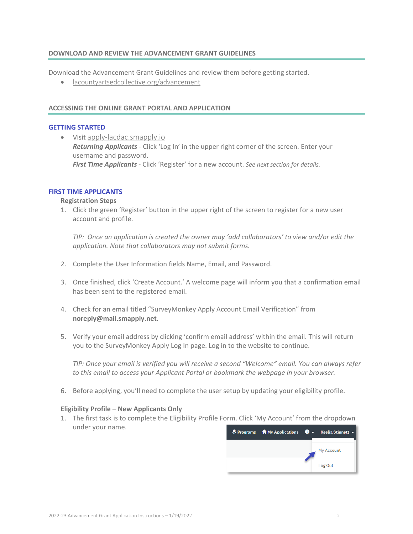## **DOWNLOAD AND REVIEW THE ADVANCEMENT GRANT GUIDELINES**

Download the Advancement Grant Guidelines and review them before getting started.

• [lacountyartsedcollective.org/advancement](https://www.lacountyartsedcollective.org/advancement)

## **ACCESSING THE ONLINE GRANT PORTAL AND APPLICATION**

## **GETTING STARTED**

• Visit [apply-lacdac.smapply.io](https://apply-lacdac.smapply.io/) *Returning Applicants -* Click 'Log In' in the upper right corner of the screen. Enter your username and password. *First Time Applicants* - Click 'Register' for a new account. *See next section for details.*

## **FIRST TIME APPLICANTS**

#### **Registration Steps**

1. Click the green 'Register' button in the upper right of the screen to register for a new user account and profile.

*TIP: Once an application is created the owner may 'add collaborators' to view and/or edit the application. Note that collaborators may not submit forms.* 

- 2. Complete the User Information fields Name, Email, and Password.
- 3. Once finished, click 'Create Account.' A welcome page will inform you that a confirmation email has been sent to the registered email.
- 4. Check for an email titled "SurveyMonkey Apply Account Email Verification" from **noreply@mail.smapply.net**.
- 5. Verify your email address by clicking 'confirm email address' within the email. This will return you to the SurveyMonkey Apply Log In page. Log in to the website to continue.

*TIP: Once your email is verified you will receive a second "Welcome" email. You can always refer to this email to access your Applicant Portal or bookmark the webpage in your browser.*

6. Before applying, you'll need to complete the user setup by updating your eligibility profile.

## **Eligibility Profile – New Applicants Only**

1. The first task is to complete the Eligibility Profile Form. Click 'My Account' from the dropdown under your name.

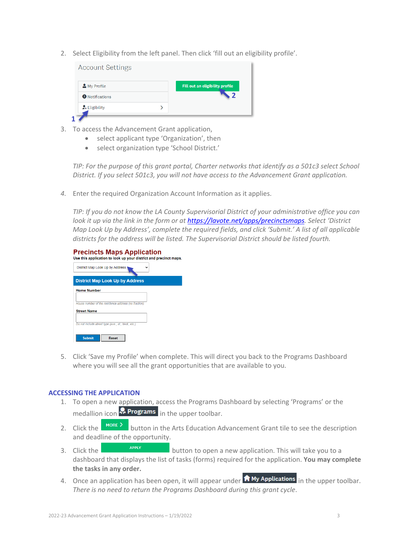2. Select Eligibility from the left panel. Then click 'fill out an eligibility profile'.

| My Profile                 | Fill out an eligibility profile |
|----------------------------|---------------------------------|
| <b>O</b> Notifications     |                                 |
| <sup>2</sup> + Eligibility |                                 |

- 3. To access the Advancement Grant application,
	- select applicant type 'Organization', then
	- select organization type 'School District.'

*TIP: For the purpose of this grant portal, Charter networks that identify as a 501c3 select School District. If you select 501c3, you will not have access to the Advancement Grant application.*

*4.* Enter the required Organization Account Information as it applies.

*TIP: If you do not know the LA County Supervisorial District of your administrative office you can look it up via the link in the form or at [https://lavote.net/apps/precinctsmaps.](https://lavote.net/apps/precinctsmaps) Select 'District Map Look Up by Address', complete the required fields, and click 'Submit.' A list of all applicable districts for the address will be listed. The Supervisorial District should be listed fourth.* 



5. Click 'Save my Profile' when complete. This will direct you back to the Programs Dashboard where you will see all the grant opportunities that are available to you.

## **ACCESSING THE APPLICATION**

- 1. To open a new application, access the Programs Dashboard by selecting 'Programs' or the medallion icon  $\Omega$  Programs in the upper toolbar.
- 2. Click the **BURGREX** button in the Arts Education Advancement Grant tile to see the description and deadline of the opportunity.
- 3. Click the **button to open** a new application. This will take you to a dashboard that displays the list of tasks (forms) required for the application. **You may complete the tasks in any order.**
- 4. Once an application has been open, it will appear under  $\overline{a}$  My Applications in the upper toolbar. *There is no need to return the Programs Dashboard during this grant cycle*.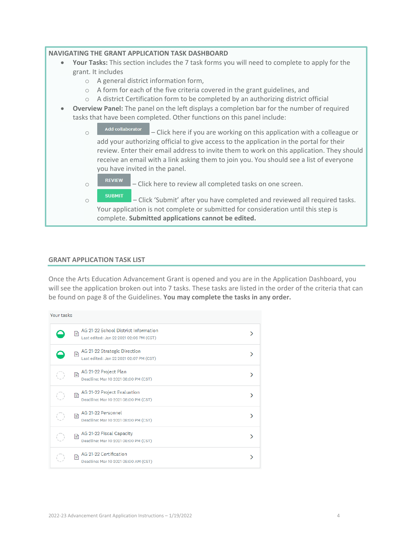## **NAVIGATING THE GRANT APPLICATION TASK DASHBOARD**

- **Your Tasks:** This section includes the 7 task forms you will need to complete to apply for the grant. It includes
	- o A general district information form,
	- o A form for each of the five criteria covered in the grant guidelines, and
	- o A district Certification form to be completed by an authorizing district official
- **Overview Panel:** The panel on the left displays a completion bar for the number of required tasks that have been completed. Other functions on this panel include:
	- $\circ$   $\blacksquare$  Add collaborator  $\blacksquare$  Click here if you are working on this application with a colleague or add your authorizing official to give access to the application in the portal for their review. Enter their email address to invite them to work on this application. They should receive an email with a link asking them to join you. You should see a list of everyone you have invited in the panel.
		- $\circ$  **EXIEM** Click here to review all completed tasks on one screen.
		- $\circ$  submit  $\Box$  Click 'Submit' after you have completed and reviewed all required tasks. Your application is not complete or submitted for consideration until this step is complete. **Submitted applications cannot be edited.**

#### **GRANT APPLICATION TASK LIST**

Once the Arts Education Advancement Grant is opened and you are in the Application Dashboard, you will see the application broken out into 7 tasks. These tasks are listed in the order of the criteria that can be found on page 8 of the Guidelines. **You may complete the tasks in any order.**

| Your tasks |   |                                                                                 |  |  |  |
|------------|---|---------------------------------------------------------------------------------|--|--|--|
|            | 昏 | AG 21-22 School District Information<br>Last edited: Jan 22 2021 02:06 PM (CST) |  |  |  |
|            | r | AG 21-22 Strategic Direction<br>Last edited: Jan 22 2021 02:07 PM (CST)         |  |  |  |
| O          | Ð | AG 21-22 Project Plan<br>Deadline: Mar 10 2021 08:00 PM (CST)                   |  |  |  |
| í)         | B | AG 21-22 Project Evaluation<br>Deadline: Mar 10 2021 08:00 PM (CST)             |  |  |  |
| í)         | B | AG 21-22 Personnel<br>Deadline: Mar 10 2021 08:00 PM (CST)                      |  |  |  |
|            | B | AG 21-22 Fiscal Capacity<br>Deadline: Mar 10 2021 08:00 PM (CST)                |  |  |  |
|            | B | AG 21-22 Certification<br>Deadline: Mar 10 2021 08:00 AM (CST)                  |  |  |  |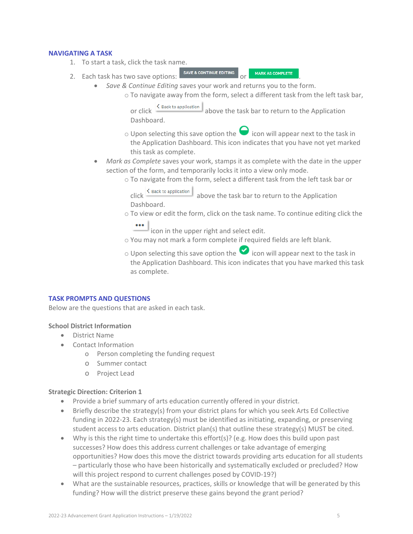#### **NAVIGATING A TASK**

1. To start a task, click the task name.

- 2. Each task has two save options: SAVE & CONTINUE EDITING or MARK AS COMPLETE • *Save & Continue Editing* saves your work and returns you to the form.
	- o To navigate away from the form, select a different task from the left task bar,

or click  $\frac{4 \text{ Back to application}}{2 \text{ above the task bar to return to the Application}}$ Dashboard.

- $\circ$  Upon selecting this save option the  $\bullet$  icon will appear next to the task in the Application Dashboard. This icon indicates that you have not yet marked this task as complete.
- *Mark as Complete* saves your work, stamps it as complete with the date in the upper section of the form, and temporarily locks it into a view only mode.
	- o To navigate from the form, select a different task from the left task bar or<br>click S Back to application above the task bar to return to the Application

above the task bar to return to the Application Dashboard.

- o To view or edit the form, click on the task name. To continue editing click the
	- icon in the upper right and select edit.
- o You may not mark a form complete if required fields are left blank.
- $\circ$  Upon selecting this save option the  $\bullet$  icon will appear next to the task in the Application Dashboard. This icon indicates that you have marked this task as complete.

#### **TASK PROMPTS AND QUESTIONS**

Below are the questions that are asked in each task.

#### **School District Information**

- District Name
- Contact Information
	- o Person completing the funding request
	- o Summer contact
	- o Project Lead

#### **Strategic Direction: Criterion 1**

- Provide a brief summary of arts education currently offered in your district.
- Briefly describe the strategy(s) from your district plans for which you seek Arts Ed Collective funding in 2022-23. Each strategy(s) must be identified as initiating, expanding, or preserving student access to arts education. District plan(s) that outline these strategy(s) MUST be cited.
- Why is this the right time to undertake this effort(s)? (e.g. How does this build upon past successes? How does this address current challenges or take advantage of emerging opportunities? How does this move the district towards providing arts education for all students – particularly those who have been historically and systematically excluded or precluded? How will this project respond to current challenges posed by COVID-19?)
- What are the sustainable resources, practices, skills or knowledge that will be generated by this funding? How will the district preserve these gains beyond the grant period?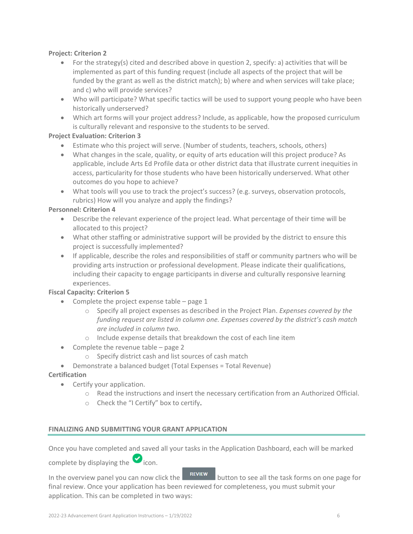## **Project: Criterion 2**

- For the strategy(s) cited and described above in question 2, specify: a) activities that will be implemented as part of this funding request (include all aspects of the project that will be funded by the grant as well as the district match); b) where and when services will take place; and c) who will provide services?
- Who will participate? What specific tactics will be used to support young people who have been historically underserved?
- Which art forms will your project address? Include, as applicable, how the proposed curriculum is culturally relevant and responsive to the students to be served.

# **Project Evaluation: Criterion 3**

- Estimate who this project will serve. (Number of students, teachers, schools, others)
- What changes in the scale, quality, or equity of arts education will this project produce? As applicable, include Arts Ed Profile data or other district data that illustrate current inequities in access, particularity for those students who have been historically underserved. What other outcomes do you hope to achieve?
- What tools will you use to track the project's success? (e.g. surveys, observation protocols, rubrics) How will you analyze and apply the findings?

# **Personnel: Criterion 4**

- Describe the relevant experience of the project lead. What percentage of their time will be allocated to this project?
- What other staffing or administrative support will be provided by the district to ensure this project is successfully implemented?
- If applicable, describe the roles and responsibilities of staff or community partners who will be providing arts instruction or professional development. Please indicate their qualifications, including their capacity to engage participants in diverse and culturally responsive learning experiences.

# **Fiscal Capacity: Criterion 5**

- Complete the project expense table page 1
	- o Specify all project expenses as described in the Project Plan. *Expenses covered by the funding request are listed in column one. Expenses covered by the district's cash match are included in column two.*
	- o Include expense details that breakdown the cost of each line item
- Complete the revenue table page 2
	- o Specify district cash and list sources of cash match
- Demonstrate a balanced budget (Total Expenses = Total Revenue)

# **Certification**

- Certify your application.
	- o Read the instructions and insert the necessary certification from an Authorized Official.
	- o Check the "I Certify" box to certify.

## **FINALIZING AND SUBMITTING YOUR GRANT APPLICATION**

Once you have completed and saved all your tasks in the Application Dashboard, each will be marked

complete by displaying the  $\bullet$  icon.

In the overview panel you can now click the  $\Box$  REVIEW button to see all the task forms on one page for final review. Once your application has been reviewed for completeness, you must submit your application. This can be completed in two ways: